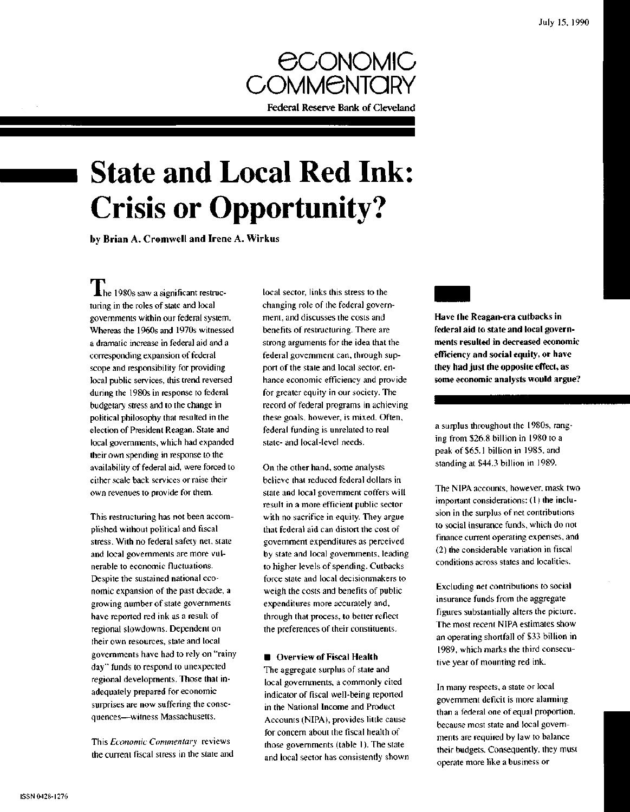

# **State and Local Red Ink: Crisis or Opportunity?**

by Brian A. Cromwell and Irene A. Wirkus

 $\blacksquare$  he 1980s saw a significant restructuring in the roles of state and local governments within our federal system. Whereas the 1960s and 1970s witnessed a dramatic increase in federal aid and a corresponding expansion of federal scope and responsibility for providing local public services, this trend reversed during the 1980s in response to federal budgetary stress and to the change in political philosophy that resulted in the election of President Reagan. State and local governments, which had expanded their own spending in response to the availability of federal aid, were forced to either scale back services or raise their own revenues to provide for them.

This restructuring has not been accomplished without political and fiscal stress. With no federal safety net, state and local governments are more vulnerable to economic fluctuations. Despite the sustained national economic expansion of the past decade, a growing number of state governments have reported red ink as a result of regional slowdowns. Dependent on their own resources, state and local governments have had to rely on "rainy day" funds to respond to unexpected regional developments. Those that inadequately prepared for economic surprises are now suffering the consequences—witness Massachusetts.

This *Economic Commentary* reviews the current fiscal stress in the state and local sector, links this stress to the changing role of the federal government, and discusses the costs and benefits of restructuring. There are strong arguments for the idea that the federal government can, through support of the state and local sector, enhance economic efficiency and provide for greater equity in our society. The record of federal programs in achieving these goals, however, is mixed. Often, federal funding is unrelated to real state- and local-level needs.

On the other hand, some analysts believe that reduced federal dollars in state and local government coffers will result in a more efficient public sector with no sacrifice in equity. They argue that federal aid can distort the cost of government expenditures as perceived by state and local governments, leading to higher levels of spending. Cutbacks force state and local decisionmakers to weigh the costs and benefits of public expenditures more accurately and, through that process, to better reflect the preferences of their constituents.

## $\blacksquare$  Overview of Fiscal Health

The aggregate surplus of state and local governments, a commonly cited indicator of fiscal well-being reported in the National Income and Product Accounts (NIPA), provides little cause for concern about the fiscal health of those governments (table 1). The state and local sector has consistently shown **Have the Reagan-era cutbacks in federal aid to state and local governments resulted in decreased economic efficiency and social equity, or have they had just the opposite effect, as some economic analysts would argue?**

a surplus throughout the 1980s, ranging from \$26.8 billion in 1980 to a peak of \$65.1 billion in 1985, and standing at \$44.3 billion in 1989.

The NIPA accounts, however, mask two important considerations: (1) the inclusion in the surplus of net contributions to social insurance funds, which do not finance current operating expenses, and (2) the considerable variation in fiscal conditions across states and localities.

Excluding net contributions to social insurance funds from the aggregate figures substantially alters the picture. The most recent NIPA estimates show an operating shortfall of \$33 billion in 1989, which marks the third consecutive year of mounting red ink.

In many respects, a state or local government deficit is more alarming than a federal one of equal proportion, because most state and local governments are required by law to balance their budgets. Consequently, they must operate more like a business or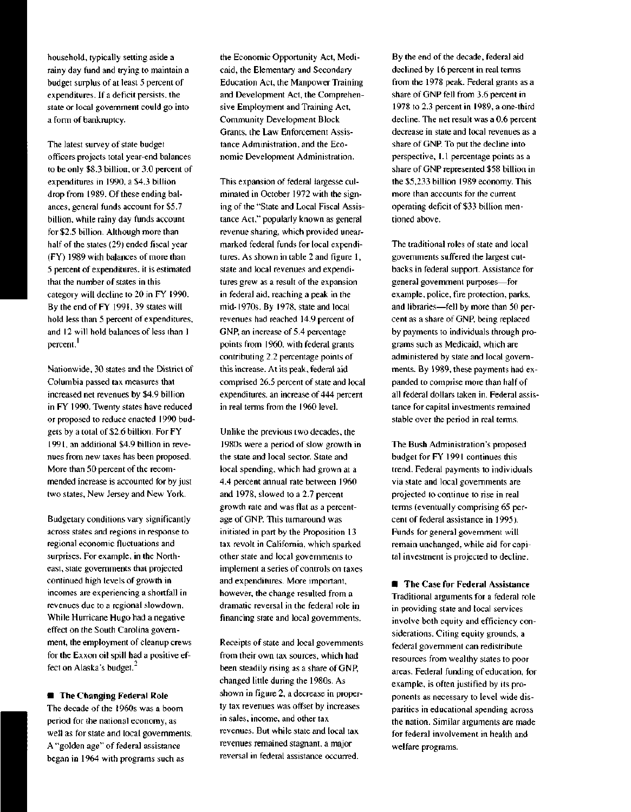household, typically setting aside a rainy day fund and trying to maintain a budget surplus of at least 5 percent of expenditures. If a deficit persists, the state or local government could go into a form of bankruptcy.

The latest survey of state budget officers projects total year-end balances to be only \$8.3 billion, or 3.0 percent of expenditures in 1990, a \$4.3 billion drop from 1989. Of these ending balances, general funds account for \$5.7 billion, while rainy day funds account for \$2.5 billion. Although more than half of the states (29) ended fiscal year (FY) 1989 with balances of more than 5 percent of expenditures, it is estimated that the number of states in this category will decline to 20 in FY 1990. By the end of FY 1991, 39 states will hold less than 5 percent of expenditures, and 12 will hold balances of less than 1 percent.'

Nationwide, 30 states and the District of Columbia passed tax measures that increased net revenues by \$4.9 billion in FY 1990. Twenty states have reduced or proposed to reduce enacted 1990 budgets by a total of \$2.6 billion. For FY 1991, an additional \$4.9 billion in revenues from new taxes has been proposed. More than 50 percent of the recommended increase is accounted for by just two states, New Jersey and New York.

Budgetary conditions vary significantly across states and regions in response to regional economic fluctuations and surprises. For example, in the Northeast, state governments that projected continued high levels of growth in incomes are experiencing a shortfall in revenues due to a regional slowdown. While Hurricane Hugo had a negative effect on the South Carolina government, the employment of cleanup crews for the Exxon oil spill had a positive effect on Alaska's budget.

**• The Changing Federal Role** The decade of the 1960s was a boom period for the national economy, as well as for state and local governments. A "golden age" of federal assistance began in 1964 with programs such as

the Economic Opportunity Act, Medicaid, the Elementary and Secondary Education Act, the Manpower Training and Development Act, the Comprehensive Employment and Training Act, Community Development Block Grants, the Law Enforcement Assistance Administration, and the Economic Development Administration.

This expansion of federal largesse culminated in October 1972 with the signing of the "State and Local Fiscal Assistance Act," popularly known as general revenue sharing, which provided unearmarked federal funds for local expenditures. As shown in table 2 and figure 1, state and local revenues and expenditures grew as a result of the expansion in federal aid, reaching a peak in the mid-1970s. By 1978, state and local revenues had reached 14.9 percent of GNP, an increase of 5.4 percentage points from 1960, with federal grants contributing 2.2 percentage points of this increase. At its peak, federal aid comprised 26.5 percent of state and local expenditures, an increase of 444 percent in real terms from the 1960 level.

Unlike the previous two decades, the 1980s were a period of slow growth in the state and local sector. State and local spending, which had grown at a 4.4 percent annual rate between 1960 and 1978, slowed to a 2.7 percent growth rate and was flat as a percentage of GNP. This turnaround was initiated in part by the Proposition 13 tax revolt in California, which sparked other state and local governments to implement a series of controls on taxes and expenditures. More important, however, the change resulted from a dramatic reversal in the federal role in financing state and local governments.

Receipts of state and local governments from their own tax sources, which had been steadily rising as a share of GNP, changed little during the 1980s. As shown in figure 2, a decrease in property tax revenues was offset by increases in sales, income, and other tax revenues. But while state and local tax revenues remained stagnant, a major reversal in federal assistance occurred.

By the end of the decade, federal aid declined by 16 percent in real terms from the 1978 peak. Federal grants as a share of GNP fell from 3.6 percent in 1978 to 2.3 percent in 1989, a one-third decline. The net result was a 0.6 percent decrease in state and local revenues as a share of GNP. To put the decline into perspective, 1.1 percentage points as a share of GNP represented \$58 billion in the \$5,233 billion 1989 economy. This more than accounts for the current operating deficit of \$33 billion mentioned above.

The traditional roles of state and local governments suffered the largest cutbacks in federal support. Assistance for general government purposes—for example, police, fire protection, parks, and libraries—fell by more than 50 percent as a share of GNP, being replaced by payments to individuals through programs such as Medicaid, which are administered by state and local governments. By 1989, these payments had expanded to comprise more than half of all federal dollars taken in. Federal assistance for capital investments remained stable over the period in real terms.

The Bush Administration's proposed budget for FY 1991 continues this trend. Federal payments to individuals via state and local governments are projected to continue to rise in real terms (eventually comprising 65 percent of federal assistance in 1995). Funds for general government will remain unchanged, while aid for capital investment is projected to decline.

• **The** Case **for** Federal Assistance Traditional arguments for a federal role in providing state and local services involve both equity and efficiency considerations. Citing equity grounds, a federal government can redistribute resources from wealthy states to poor areas. Federal funding of education, for example, is often justified by its proponents as necessary to level wide disparities in educational spending across the nation. Similar arguments are made for federal involvement in health and welfare programs.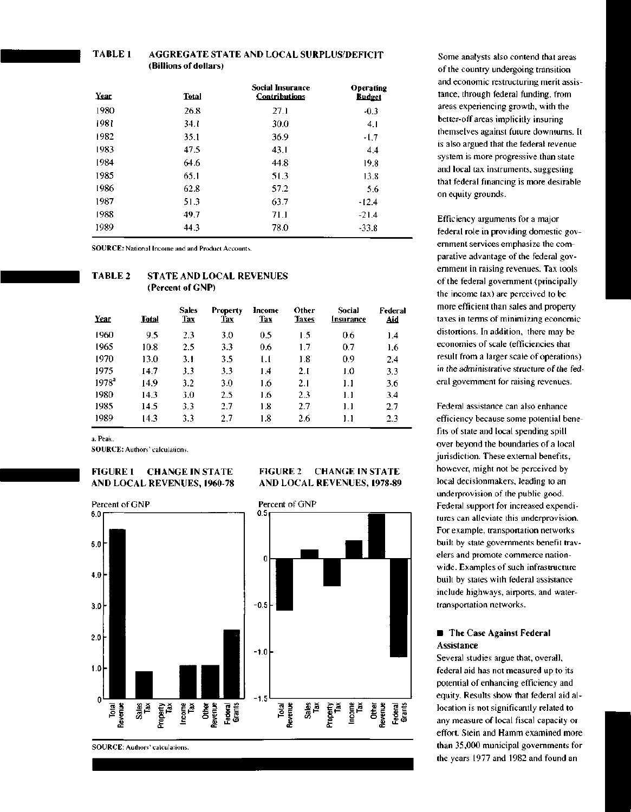### **TABLE 1 AGGREGATE STATE AND LOCAL SURPLUS/DEFICIT** (Billions of dollars)

| Year | <b>Total</b> | <b>Social Insurance</b><br><b>Contributions</b> | Operating<br>Budget |  |
|------|--------------|-------------------------------------------------|---------------------|--|
| 1980 | 26.8         | 27.1                                            | $-0.3$              |  |
| 1981 | 34. I        | 30.0                                            | 4.1                 |  |
| 1982 | 35.1         | 36.9                                            | $-1,7$              |  |
| 1983 | 47.5         | 43.1                                            | 4.4                 |  |
| 1984 | 64.6         | 44.8                                            | 19.8                |  |
| 1985 | 65.1         | 51.3                                            | 13.8                |  |
| 1986 | 62.8         | 57.2                                            | 5.6                 |  |
| 1987 | 51.3         | 63.7                                            | -12.4               |  |
| 1988 | 49.7         | 71.1                                            | $-21.4$             |  |
| 1989 | 44.3         | 78.0                                            | $-33.8$             |  |

SOURCE: National Income and and Product Accounts.

# **TABLE 2 STATE AND LOCAL REVENUES (Percent of GNP)**

| Year     | <b>Total</b> | <b>Sales</b><br><b>Tax</b> | <b>Property</b><br><b>Tax</b> | Income<br>Tax | Other<br><b>Taxes</b> | Social<br>Insurance | Federal<br>Aid |
|----------|--------------|----------------------------|-------------------------------|---------------|-----------------------|---------------------|----------------|
| 1960     | 9.5          | 2.3                        | 3.0                           | 0.5           | 1.5                   | 0.6                 | 1.4            |
| 1965     | 10.8         | 2.5                        | 3.3                           | 0.6           | 1.7                   | 0.7                 | 1.6            |
| 1970     | 13.0         | 3.1                        | 3.5                           | t.t           | 1.8                   | 0.9                 | 2.4            |
| 1975     | 14.7         | 3.3                        | 3.3                           | 14            | 2.1                   | LО                  | 3.3            |
| $1978^a$ | 14.9         | 3.2                        | 3.0                           | 1.6           | 2.1                   | IJ                  | 3.6            |
| 1980     | 14.3         | 3.0                        | 2.5                           | 1.6           | 2.3                   | 1.1                 | 3.4            |
| 1985     | 14.5         | 3.3                        | 2.7                           | 1.8           | 2.7                   | 1. 1                | 2.7            |
| 1989     | 14.3         | 3.3                        | 2.7                           | 1.8           | 2.6                   | 1.1                 | 2.3            |

**FIGURE 2 CHANGE IN STATE AND LOCAL REVENUES, 1978-89**

a. Peak.

SOURCE: Authors' calculations.

# **FIGURE 1 CHANGE IN STATE AND LOCAL REVENUES, 1960-78**



Some analysts also contend that areas of the country undergoing transition and economic restructuring merit assistance, through federal funding, from areas experiencing growth, with the better-off areas implicitly insuring themselves against future downturns. It is also argued that the federal revenue system is more progressive than state and local tax instruments, suggesting that federal financing is more desirable on equity grounds.

Efficiency arguments for a major federal role in providing domestic government services emphasize the comparative advantage of the federal government in raising revenues. Tax tools of the federal government (principally the income tax) are perceived to be more efficient than sales and property taxes in terms of minimizing economic distortions. In addition, there may be economies of scale (efficiencies that result from a larger scale of operations) in the administrative structure of the federal government for raising revenues.

Federal assistance can also enhance efficiency because some potential benefits of state and local spending spill over beyond the boundaries of a local jurisdiction. These external benefits, however, might not be perceived by local decisionmakers, leading to an underprovision of the public good. Federal support for increased expenditures can alleviate this underprovision. For example, transportation networks built by state governments benefit travelers and promote commerce nationwide. Examples of such infrastructure built by states with federal assistance include highways, airports, and watertransportation networks.

# **• The Case Against Federal** Assistance

Several studies argue that, overall, federal aid has not measured up to its potential of enhancing efficiency and equity. Results show that federal aid allocation is not significantly related to any measure of local fiscal capacity or effort. Stein and Hamm examined more than 35,000 municipal governments for the years 1977 and 1982 and found an